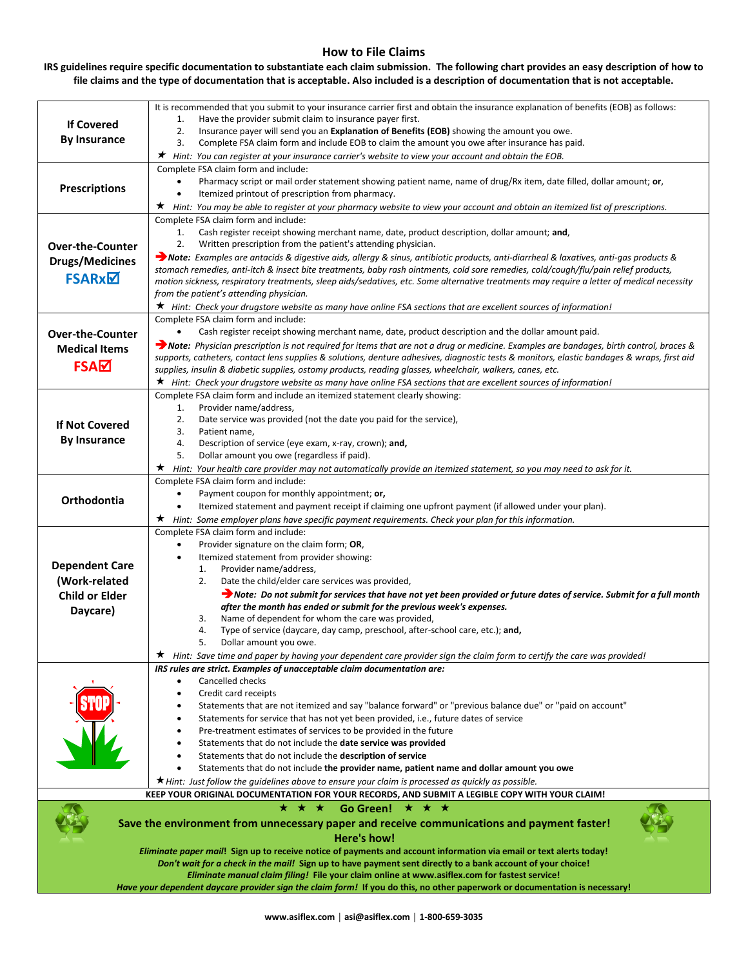### **How to File Claims**

#### **IRS guidelines require specific documentation to substantiate each claim submission. The following chart provides an easy description of how to file claims and the type of documentation that is acceptable. Also included is a description of documentation that is not acceptable.**

|                                                                                                                                                                                                                                    | It is recommended that you submit to your insurance carrier first and obtain the insurance explanation of benefits (EOB) as follows:                                                                                                                     |  |  |  |  |  |  |
|------------------------------------------------------------------------------------------------------------------------------------------------------------------------------------------------------------------------------------|----------------------------------------------------------------------------------------------------------------------------------------------------------------------------------------------------------------------------------------------------------|--|--|--|--|--|--|
|                                                                                                                                                                                                                                    | Have the provider submit claim to insurance payer first.<br>1.                                                                                                                                                                                           |  |  |  |  |  |  |
| <b>If Covered</b>                                                                                                                                                                                                                  | Insurance payer will send you an Explanation of Benefits (EOB) showing the amount you owe.<br>2.                                                                                                                                                         |  |  |  |  |  |  |
| <b>By Insurance</b>                                                                                                                                                                                                                | 3.<br>Complete FSA claim form and include EOB to claim the amount you owe after insurance has paid.                                                                                                                                                      |  |  |  |  |  |  |
|                                                                                                                                                                                                                                    | ★ Hint: You can register at your insurance carrier's website to view your account and obtain the EOB.                                                                                                                                                    |  |  |  |  |  |  |
|                                                                                                                                                                                                                                    | Complete FSA claim form and include:                                                                                                                                                                                                                     |  |  |  |  |  |  |
|                                                                                                                                                                                                                                    | Pharmacy script or mail order statement showing patient name, name of drug/Rx item, date filled, dollar amount; or,<br>$\bullet$                                                                                                                         |  |  |  |  |  |  |
| Prescriptions                                                                                                                                                                                                                      | Itemized printout of prescription from pharmacy.                                                                                                                                                                                                         |  |  |  |  |  |  |
|                                                                                                                                                                                                                                    | ★.<br>Hint: You may be able to register at your pharmacy website to view your account and obtain an itemized list of prescriptions.                                                                                                                      |  |  |  |  |  |  |
|                                                                                                                                                                                                                                    | Complete FSA claim form and include:                                                                                                                                                                                                                     |  |  |  |  |  |  |
|                                                                                                                                                                                                                                    | Cash register receipt showing merchant name, date, product description, dollar amount; and,<br>1.                                                                                                                                                        |  |  |  |  |  |  |
| <b>Over-the-Counter</b>                                                                                                                                                                                                            | 2.<br>Written prescription from the patient's attending physician.                                                                                                                                                                                       |  |  |  |  |  |  |
| <b>Drugs/Medicines</b>                                                                                                                                                                                                             | → Note: Examples are antacids & digestive aids, allergy & sinus, antibiotic products, anti-diarrheal & laxatives, anti-gas products &                                                                                                                    |  |  |  |  |  |  |
|                                                                                                                                                                                                                                    | stomach remedies, anti-itch & insect bite treatments, baby rash ointments, cold sore remedies, cold/cough/flu/pain relief products,                                                                                                                      |  |  |  |  |  |  |
| <b>FSARxM</b>                                                                                                                                                                                                                      | motion sickness, respiratory treatments, sleep aids/sedatives, etc. Some alternative treatments may require a letter of medical necessity                                                                                                                |  |  |  |  |  |  |
|                                                                                                                                                                                                                                    | from the patient's attending physician.                                                                                                                                                                                                                  |  |  |  |  |  |  |
|                                                                                                                                                                                                                                    | ★ Hint: Check your drugstore website as many have online FSA sections that are excellent sources of information!                                                                                                                                         |  |  |  |  |  |  |
|                                                                                                                                                                                                                                    | Complete FSA claim form and include:                                                                                                                                                                                                                     |  |  |  |  |  |  |
| <b>Over-the-Counter</b>                                                                                                                                                                                                            | Cash register receipt showing merchant name, date, product description and the dollar amount paid.                                                                                                                                                       |  |  |  |  |  |  |
| <b>Medical Items</b>                                                                                                                                                                                                               | → Note: Physician prescription is not required for items that are not a drug or medicine. Examples are bandages, birth control, braces &                                                                                                                 |  |  |  |  |  |  |
| FSAM                                                                                                                                                                                                                               | supports, catheters, contact lens supplies & solutions, denture adhesives, diagnostic tests & monitors, elastic bandages & wraps, first aid<br>supplies, insulin & diabetic supplies, ostomy products, reading glasses, wheelchair, walkers, canes, etc. |  |  |  |  |  |  |
|                                                                                                                                                                                                                                    | ★ Hint: Check your drugstore website as many have online FSA sections that are excellent sources of information!                                                                                                                                         |  |  |  |  |  |  |
|                                                                                                                                                                                                                                    | Complete FSA claim form and include an itemized statement clearly showing:                                                                                                                                                                               |  |  |  |  |  |  |
|                                                                                                                                                                                                                                    | Provider name/address,<br>1.                                                                                                                                                                                                                             |  |  |  |  |  |  |
|                                                                                                                                                                                                                                    | Date service was provided (not the date you paid for the service),<br>2.                                                                                                                                                                                 |  |  |  |  |  |  |
| <b>If Not Covered</b>                                                                                                                                                                                                              | 3.<br>Patient name,                                                                                                                                                                                                                                      |  |  |  |  |  |  |
| <b>By Insurance</b>                                                                                                                                                                                                                | 4.<br>Description of service (eye exam, x-ray, crown); and,                                                                                                                                                                                              |  |  |  |  |  |  |
|                                                                                                                                                                                                                                    | Dollar amount you owe (regardless if paid).<br>5.                                                                                                                                                                                                        |  |  |  |  |  |  |
|                                                                                                                                                                                                                                    | ★.<br>Hint: Your health care provider may not automatically provide an itemized statement, so you may need to ask for it.                                                                                                                                |  |  |  |  |  |  |
|                                                                                                                                                                                                                                    | Complete FSA claim form and include:                                                                                                                                                                                                                     |  |  |  |  |  |  |
| Payment coupon for monthly appointment; or,<br>Orthodontia                                                                                                                                                                         |                                                                                                                                                                                                                                                          |  |  |  |  |  |  |
|                                                                                                                                                                                                                                    | Itemized statement and payment receipt if claiming one upfront payment (if allowed under your plan).<br>$\star$ Hint: Some employer plans have specific payment requirements. Check your plan for this information.                                      |  |  |  |  |  |  |
|                                                                                                                                                                                                                                    | Complete FSA claim form and include:                                                                                                                                                                                                                     |  |  |  |  |  |  |
|                                                                                                                                                                                                                                    | Provider signature on the claim form; OR,                                                                                                                                                                                                                |  |  |  |  |  |  |
|                                                                                                                                                                                                                                    | Itemized statement from provider showing:                                                                                                                                                                                                                |  |  |  |  |  |  |
| <b>Dependent Care</b>                                                                                                                                                                                                              | Provider name/address,<br>1.                                                                                                                                                                                                                             |  |  |  |  |  |  |
| (Work-related                                                                                                                                                                                                                      | Date the child/elder care services was provided,<br>2.                                                                                                                                                                                                   |  |  |  |  |  |  |
| <b>Child or Elder</b>                                                                                                                                                                                                              | Note: Do not submit for services that have not yet been provided or future dates of service. Submit for a full month                                                                                                                                     |  |  |  |  |  |  |
| Daycare)                                                                                                                                                                                                                           | after the month has ended or submit for the previous week's expenses.                                                                                                                                                                                    |  |  |  |  |  |  |
|                                                                                                                                                                                                                                    | Name of dependent for whom the care was provided,<br>3.                                                                                                                                                                                                  |  |  |  |  |  |  |
|                                                                                                                                                                                                                                    | 4.<br>Type of service (daycare, day camp, preschool, after-school care, etc.); and,<br>5.                                                                                                                                                                |  |  |  |  |  |  |
|                                                                                                                                                                                                                                    | Dollar amount you owe.<br>Hint: Save time and paper by having your dependent care provider sign the claim form to certify the care was provided!                                                                                                         |  |  |  |  |  |  |
|                                                                                                                                                                                                                                    | IRS rules are strict. Examples of unacceptable claim documentation are:                                                                                                                                                                                  |  |  |  |  |  |  |
|                                                                                                                                                                                                                                    | Cancelled checks<br>$\bullet$                                                                                                                                                                                                                            |  |  |  |  |  |  |
|                                                                                                                                                                                                                                    | Credit card receipts                                                                                                                                                                                                                                     |  |  |  |  |  |  |
|                                                                                                                                                                                                                                    | "Statements that are not itemized and say "balance forward" or "previous balance due" or "paid on account                                                                                                                                                |  |  |  |  |  |  |
|                                                                                                                                                                                                                                    | Statements for service that has not yet been provided, i.e., future dates of service                                                                                                                                                                     |  |  |  |  |  |  |
|                                                                                                                                                                                                                                    | Pre-treatment estimates of services to be provided in the future                                                                                                                                                                                         |  |  |  |  |  |  |
|                                                                                                                                                                                                                                    | Statements that do not include the <b>date service was provided</b>                                                                                                                                                                                      |  |  |  |  |  |  |
|                                                                                                                                                                                                                                    | Statements that do not include the description of service                                                                                                                                                                                                |  |  |  |  |  |  |
|                                                                                                                                                                                                                                    | Statements that do not include the provider name, patient name and dollar amount you owe<br>$\bullet$                                                                                                                                                    |  |  |  |  |  |  |
|                                                                                                                                                                                                                                    | $\star$ Hint: Just follow the guidelines above to ensure your claim is processed as quickly as possible.<br>KEEP YOUR ORIGINAL DOCUMENTATION FOR YOUR RECORDS, AND SUBMIT A LEGIBLE COPY WITH YOUR CLAIM!                                                |  |  |  |  |  |  |
|                                                                                                                                                                                                                                    | ★ ★ ★<br>Go Green! $\star \star \star$                                                                                                                                                                                                                   |  |  |  |  |  |  |
|                                                                                                                                                                                                                                    |                                                                                                                                                                                                                                                          |  |  |  |  |  |  |
| Save the environment from unnecessary paper and receive communications and payment faster!                                                                                                                                         |                                                                                                                                                                                                                                                          |  |  |  |  |  |  |
| Here's how!                                                                                                                                                                                                                        |                                                                                                                                                                                                                                                          |  |  |  |  |  |  |
| Eliminate paper mail! Sign up to receive notice of payments and account information via email or text alerts today!<br>Don't wait for a check in the mail! Sign up to have payment sent directly to a bank account of your choice! |                                                                                                                                                                                                                                                          |  |  |  |  |  |  |
| Eliminate manual claim filing! File your claim online at www.asiflex.com for fastest service!                                                                                                                                      |                                                                                                                                                                                                                                                          |  |  |  |  |  |  |
|                                                                                                                                                                                                                                    | Have your dependent daycare provider sign the claim form! If you do this, no other paperwork or documentation is necessary!                                                                                                                              |  |  |  |  |  |  |